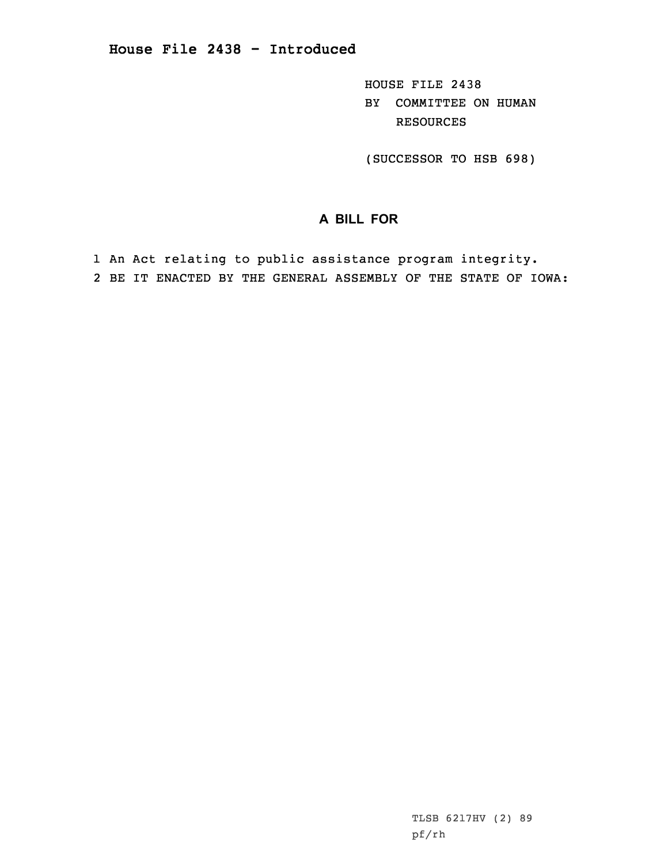HOUSE FILE 2438 BY COMMITTEE ON HUMAN RESOURCES

(SUCCESSOR TO HSB 698)

## **A BILL FOR**

1 An Act relating to public assistance program integrity. 2 BE IT ENACTED BY THE GENERAL ASSEMBLY OF THE STATE OF IOWA: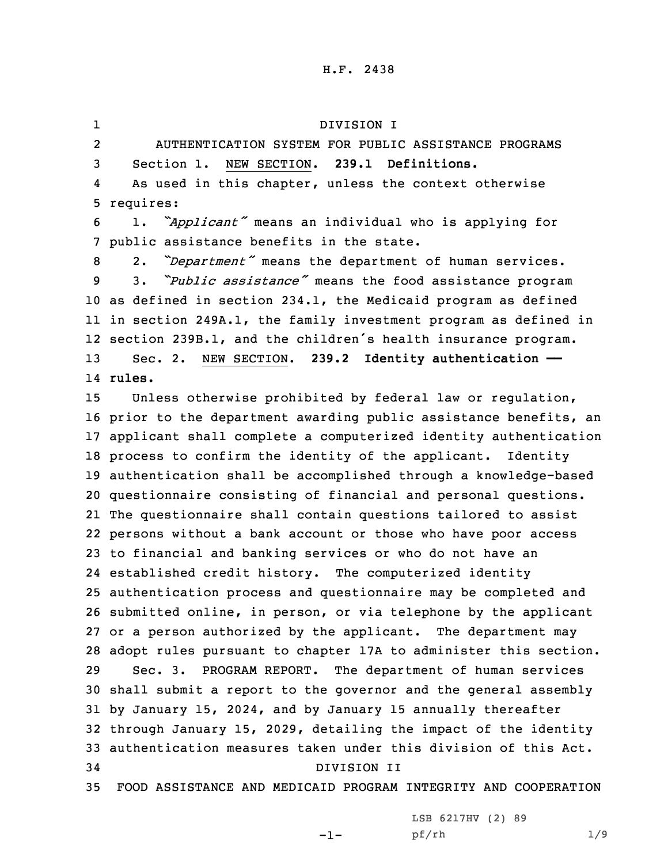## H.F. 2438

1 DIVISION I 2 AUTHENTICATION SYSTEM FOR PUBLIC ASSISTANCE PROGRAMS Section 1. NEW SECTION. **239.1 Definitions.** 4 As used in this chapter, unless the context otherwise requires: 1. *"Applicant"* means an individual who is applying for public assistance benefits in the state. 2. *"Department"* means the department of human services. 3. *"Public assistance"* means the food assistance program as defined in section 234.1, the Medicaid program as defined in section 249A.1, the family investment program as defined in section 239B.1, and the children's health insurance program. Sec. 2. NEW SECTION. **239.2 Identity authentication ——** 14 **rules.** Unless otherwise prohibited by federal law or regulation, prior to the department awarding public assistance benefits, an applicant shall complete <sup>a</sup> computerized identity authentication process to confirm the identity of the applicant. Identity authentication shall be accomplished through <sup>a</sup> knowledge-based questionnaire consisting of financial and personal questions. The questionnaire shall contain questions tailored to assist persons without <sup>a</sup> bank account or those who have poor access to financial and banking services or who do not have an established credit history. The computerized identity authentication process and questionnaire may be completed and submitted online, in person, or via telephone by the applicant or <sup>a</sup> person authorized by the applicant. The department may adopt rules pursuant to chapter 17A to administer this section. Sec. 3. PROGRAM REPORT. The department of human services shall submit <sup>a</sup> report to the governor and the general assembly by January 15, 2024, and by January 15 annually thereafter through January 15, 2029, detailing the impact of the identity authentication measures taken under this division of this Act. DIVISION II FOOD ASSISTANCE AND MEDICAID PROGRAM INTEGRITY AND COOPERATION

-1-

LSB 6217HV (2) 89 pf/rh 1/9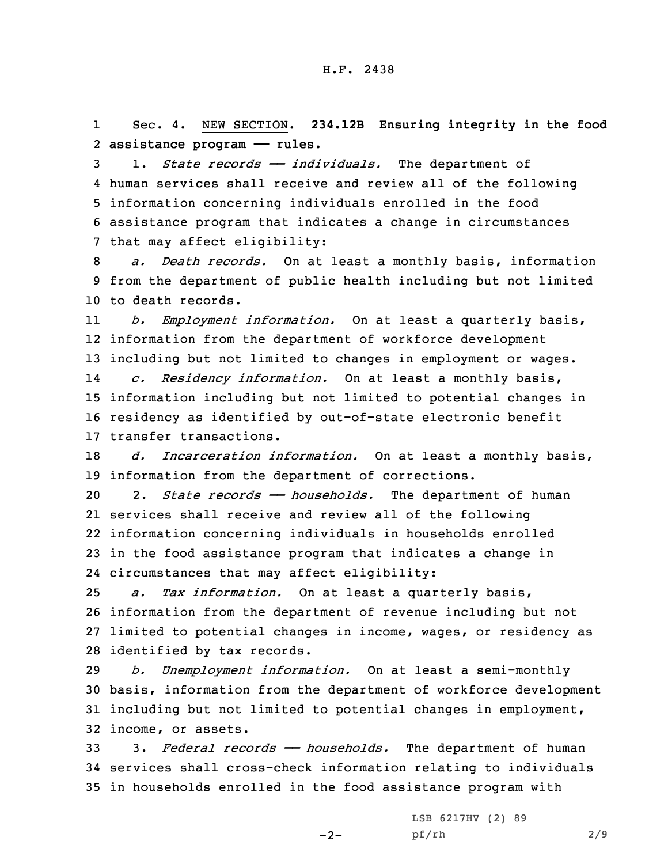1 Sec. 4. NEW SECTION. **234.12B Ensuring integrity in the food** 2 **assistance program —— rules.**

 1. *State records —— individuals.* The department of human services shall receive and review all of the following information concerning individuals enrolled in the food assistance program that indicates <sup>a</sup> change in circumstances that may affect eligibility:

8 *a. Death records.* On at least <sup>a</sup> monthly basis, information 9 from the department of public health including but not limited 10 to death records.

11 *b. Employment information.* On at least <sup>a</sup> quarterly basis, 12 information from the department of workforce development 13 including but not limited to changes in employment or wages. 14 *c. Residency information.* On at least <sup>a</sup> monthly basis, 15 information including but not limited to potential changes in 16 residency as identified by out-of-state electronic benefit 17 transfer transactions.

18 *d. Incarceration information.* On at least <sup>a</sup> monthly basis, 19 information from the department of corrections.

 2. *State records —— households.* The department of human services shall receive and review all of the following information concerning individuals in households enrolled in the food assistance program that indicates <sup>a</sup> change in circumstances that may affect eligibility:

 *a. Tax information.* On at least <sup>a</sup> quarterly basis, information from the department of revenue including but not limited to potential changes in income, wages, or residency as identified by tax records.

 *b. Unemployment information.* On at least <sup>a</sup> semi-monthly basis, information from the department of workforce development including but not limited to potential changes in employment, income, or assets.

33 3. *Federal records —— households.* The department of human 34 services shall cross-check information relating to individuals 35 in households enrolled in the food assistance program with

 $-2-$ 

LSB 6217HV (2) 89 pf/rh 2/9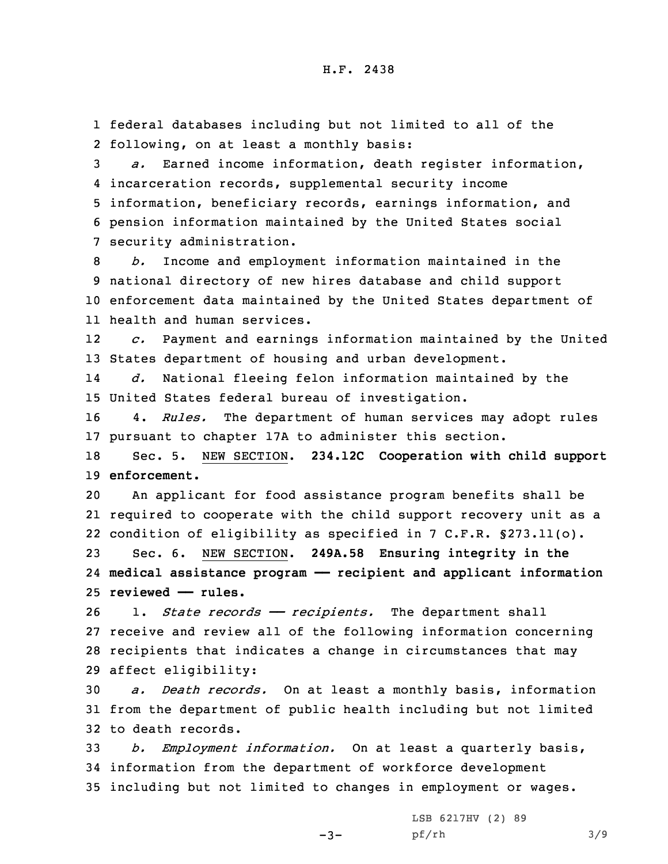1 federal databases including but not limited to all of the 2 following, on at least <sup>a</sup> monthly basis:

 *a.* Earned income information, death register information, incarceration records, supplemental security income information, beneficiary records, earnings information, and pension information maintained by the United States social security administration.

 *b.* Income and employment information maintained in the national directory of new hires database and child support enforcement data maintained by the United States department of health and human services.

12 *c.* Payment and earnings information maintained by the United 13 States department of housing and urban development.

14 *d.* National fleeing felon information maintained by the 15 United States federal bureau of investigation.

16 4. *Rules.* The department of human services may adopt rules 17 pursuant to chapter 17A to administer this section.

18 Sec. 5. NEW SECTION. **234.12C Cooperation with child support** 19 **enforcement.**

20 An applicant for food assistance program benefits shall be 21 required to cooperate with the child support recovery unit as <sup>a</sup> 22 condition of eligibility as specified in 7 C.F.R. §273.11(o).

23 Sec. 6. NEW SECTION. **249A.58 Ensuring integrity in the** 24 **medical assistance program —— recipient and applicant information** 25 **reviewed —— rules.**

26 1. *State records* – *recipients*. The department shall receive and review all of the following information concerning recipients that indicates <sup>a</sup> change in circumstances that may affect eligibility:

30 *a. Death records.* On at least <sup>a</sup> monthly basis, information 31 from the department of public health including but not limited 32 to death records.

33 *b. Employment information.* On at least <sup>a</sup> quarterly basis, 34 information from the department of workforce development 35 including but not limited to changes in employment or wages.

 $-3-$ 

LSB 6217HV (2) 89 pf/rh 3/9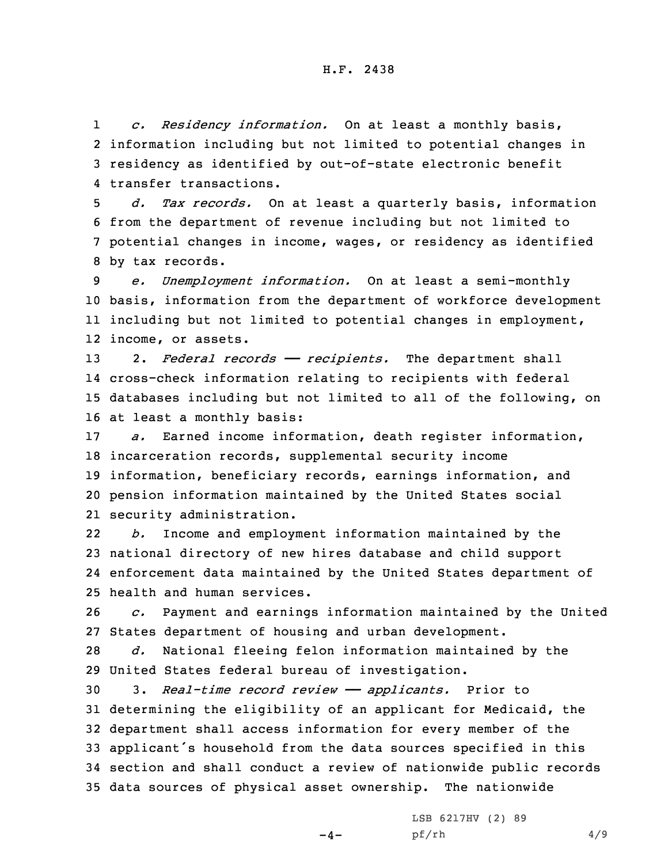1 *c. Residency information.* On at least <sup>a</sup> monthly basis, 2 information including but not limited to potential changes in 3 residency as identified by out-of-state electronic benefit 4 transfer transactions.

 *d. Tax records.* On at least <sup>a</sup> quarterly basis, information from the department of revenue including but not limited to potential changes in income, wages, or residency as identified by tax records.

 *e. Unemployment information.* On at least <sup>a</sup> semi-monthly basis, information from the department of workforce development including but not limited to potential changes in employment, income, or assets.

 2. *Federal records —— recipients.* The department shall cross-check information relating to recipients with federal databases including but not limited to all of the following, on at least <sup>a</sup> monthly basis:

 *a.* Earned income information, death register information, incarceration records, supplemental security income information, beneficiary records, earnings information, and pension information maintained by the United States social security administration.

22 *b.* Income and employment information maintained by the 23 national directory of new hires database and child support 24 enforcement data maintained by the United States department of 25 health and human services.

26 *c.* Payment and earnings information maintained by the United 27 States department of housing and urban development.

28 *d.* National fleeing felon information maintained by the 29 United States federal bureau of investigation.

 3. *Real-time record review —— applicants.* Prior to determining the eligibility of an applicant for Medicaid, the department shall access information for every member of the applicant's household from the data sources specified in this section and shall conduct <sup>a</sup> review of nationwide public records data sources of physical asset ownership. The nationwide

 $-4-$ 

LSB 6217HV (2) 89 pf/rh 4/9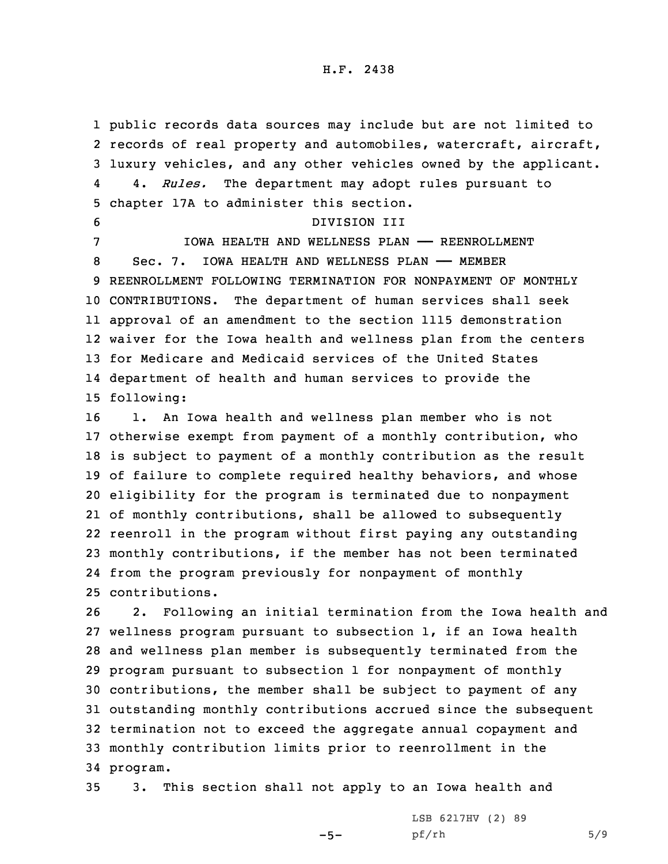1 public records data sources may include but are not limited to 2 records of real property and automobiles, watercraft, aircraft, 3 luxury vehicles, and any other vehicles owned by the applicant. 4 4. *Rules.* The department may adopt rules pursuant to 5 chapter 17A to administer this section.

 DIVISION III IOWA HEALTH AND WELLNESS PLAN —— REENROLLMENT Sec. 7. IOWA HEALTH AND WELLNESS PLAN —— MEMBER REENROLLMENT FOLLOWING TERMINATION FOR NONPAYMENT OF MONTHLY CONTRIBUTIONS. The department of human services shall seek approval of an amendment to the section 1115 demonstration waiver for the Iowa health and wellness plan from the centers for Medicare and Medicaid services of the United States department of health and human services to provide the following:

 1. An Iowa health and wellness plan member who is not otherwise exempt from payment of <sup>a</sup> monthly contribution, who is subject to payment of <sup>a</sup> monthly contribution as the result of failure to complete required healthy behaviors, and whose eligibility for the program is terminated due to nonpayment of monthly contributions, shall be allowed to subsequently reenroll in the program without first paying any outstanding monthly contributions, if the member has not been terminated from the program previously for nonpayment of monthly contributions.

 2. Following an initial termination from the Iowa health and wellness program pursuant to subsection 1, if an Iowa health and wellness plan member is subsequently terminated from the program pursuant to subsection 1 for nonpayment of monthly contributions, the member shall be subject to payment of any outstanding monthly contributions accrued since the subsequent termination not to exceed the aggregate annual copayment and monthly contribution limits prior to reenrollment in the 34 program.

35 3. This section shall not apply to an Iowa health and

 $-5-$ 

LSB 6217HV (2) 89 pf/rh 5/9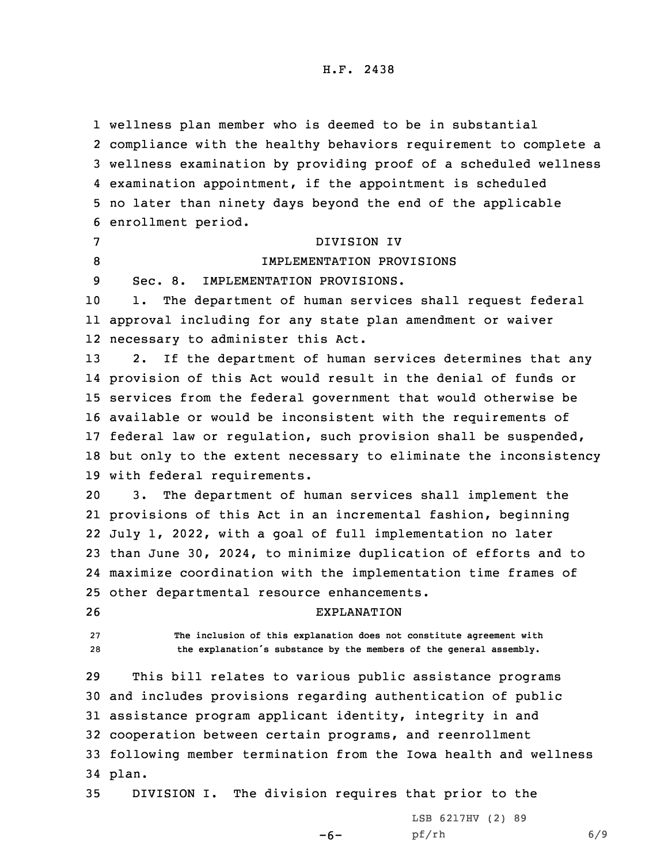wellness plan member who is deemed to be in substantial compliance with the healthy behaviors requirement to complete <sup>a</sup> wellness examination by providing proof of <sup>a</sup> scheduled wellness examination appointment, if the appointment is scheduled no later than ninety days beyond the end of the applicable enrollment period. DIVISION IV IMPLEMENTATION PROVISIONS Sec. 8. IMPLEMENTATION PROVISIONS. 1. The department of human services shall request federal approval including for any state plan amendment or waiver necessary to administer this Act. 13 2. If the department of human services determines that any provision of this Act would result in the denial of funds or services from the federal government that would otherwise be available or would be inconsistent with the requirements of federal law or regulation, such provision shall be suspended, but only to the extent necessary to eliminate the inconsistency with federal requirements. 3. The department of human services shall implement the provisions of this Act in an incremental fashion, beginning July 1, 2022, with <sup>a</sup> goal of full implementation no later than June 30, 2024, to minimize duplication of efforts and to maximize coordination with the implementation time frames of other departmental resource enhancements. EXPLANATION **The inclusion of this explanation does not constitute agreement with the explanation's substance by the members of the general assembly.** This bill relates to various public assistance programs and includes provisions regarding authentication of public assistance program applicant identity, integrity in and cooperation between certain programs, and reenrollment following member termination from the Iowa health and wellness 34 plan.

35 DIVISION I. The division requires that prior to the

LSB 6217HV (2) 89

 $-6-$ 

pf/rh 6/9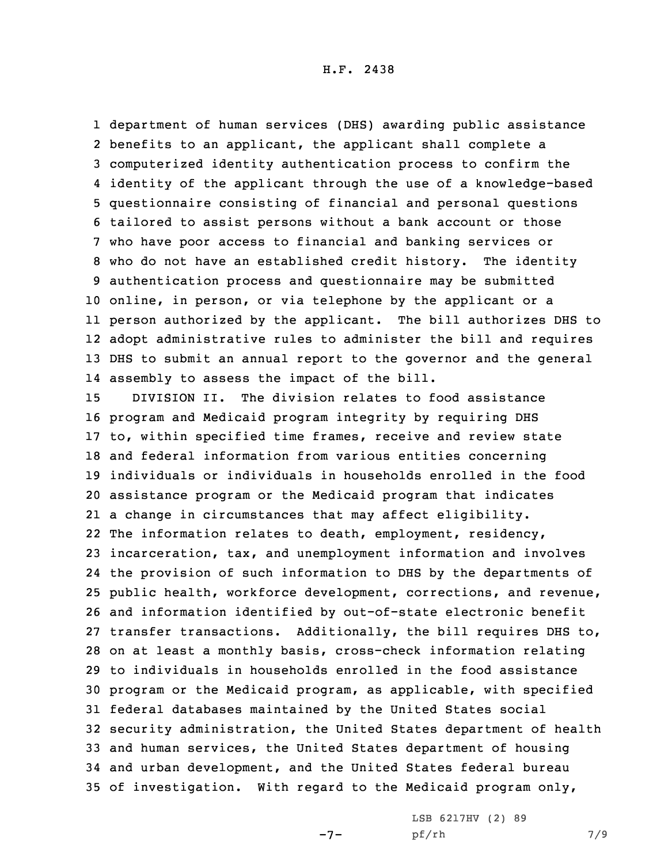department of human services (DHS) awarding public assistance benefits to an applicant, the applicant shall complete <sup>a</sup> computerized identity authentication process to confirm the identity of the applicant through the use of <sup>a</sup> knowledge-based questionnaire consisting of financial and personal questions tailored to assist persons without <sup>a</sup> bank account or those who have poor access to financial and banking services or who do not have an established credit history. The identity authentication process and questionnaire may be submitted online, in person, or via telephone by the applicant or <sup>a</sup> person authorized by the applicant. The bill authorizes DHS to adopt administrative rules to administer the bill and requires DHS to submit an annual report to the governor and the general assembly to assess the impact of the bill.

 DIVISION II. The division relates to food assistance program and Medicaid program integrity by requiring DHS to, within specified time frames, receive and review state and federal information from various entities concerning individuals or individuals in households enrolled in the food assistance program or the Medicaid program that indicates <sup>a</sup> change in circumstances that may affect eligibility. The information relates to death, employment, residency, incarceration, tax, and unemployment information and involves the provision of such information to DHS by the departments of public health, workforce development, corrections, and revenue, and information identified by out-of-state electronic benefit transfer transactions. Additionally, the bill requires DHS to, on at least <sup>a</sup> monthly basis, cross-check information relating to individuals in households enrolled in the food assistance program or the Medicaid program, as applicable, with specified federal databases maintained by the United States social security administration, the United States department of health and human services, the United States department of housing and urban development, and the United States federal bureau of investigation. With regard to the Medicaid program only,

-7-

LSB 6217HV (2) 89 pf/rh 7/9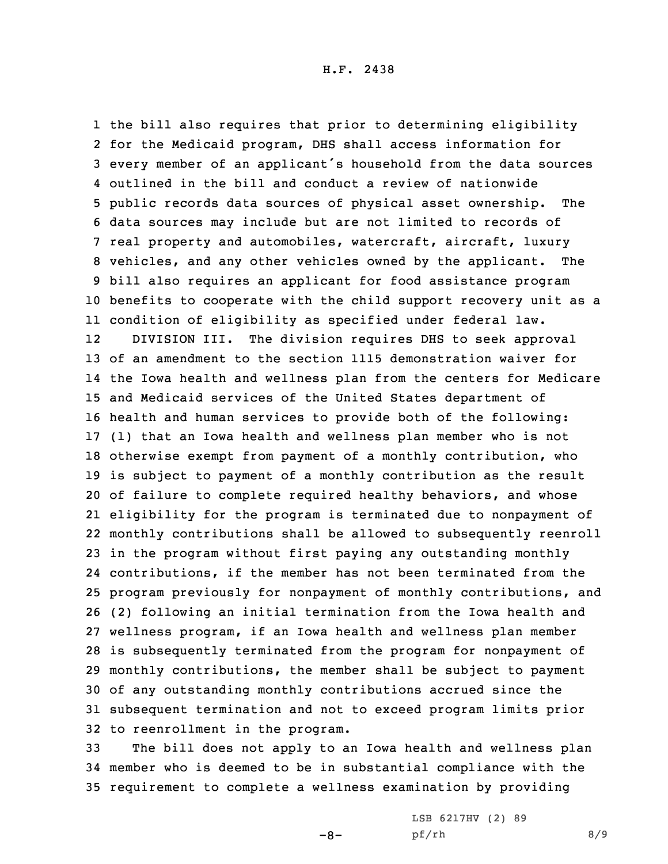the bill also requires that prior to determining eligibility for the Medicaid program, DHS shall access information for every member of an applicant's household from the data sources outlined in the bill and conduct <sup>a</sup> review of nationwide public records data sources of physical asset ownership. The data sources may include but are not limited to records of real property and automobiles, watercraft, aircraft, luxury vehicles, and any other vehicles owned by the applicant. The bill also requires an applicant for food assistance program benefits to cooperate with the child support recovery unit as <sup>a</sup> condition of eligibility as specified under federal law. 12 DIVISION III. The division requires DHS to seek approval of an amendment to the section 1115 demonstration waiver for the Iowa health and wellness plan from the centers for Medicare and Medicaid services of the United States department of health and human services to provide both of the following: (1) that an Iowa health and wellness plan member who is not otherwise exempt from payment of <sup>a</sup> monthly contribution, who is subject to payment of <sup>a</sup> monthly contribution as the result of failure to complete required healthy behaviors, and whose eligibility for the program is terminated due to nonpayment of monthly contributions shall be allowed to subsequently reenroll in the program without first paying any outstanding monthly contributions, if the member has not been terminated from the program previously for nonpayment of monthly contributions, and (2) following an initial termination from the Iowa health and wellness program, if an Iowa health and wellness plan member is subsequently terminated from the program for nonpayment of monthly contributions, the member shall be subject to payment of any outstanding monthly contributions accrued since the subsequent termination and not to exceed program limits prior to reenrollment in the program.

33 The bill does not apply to an Iowa health and wellness plan 34 member who is deemed to be in substantial compliance with the 35 requirement to complete <sup>a</sup> wellness examination by providing

 $-8-$ 

LSB 6217HV (2) 89 pf/rh 8/9